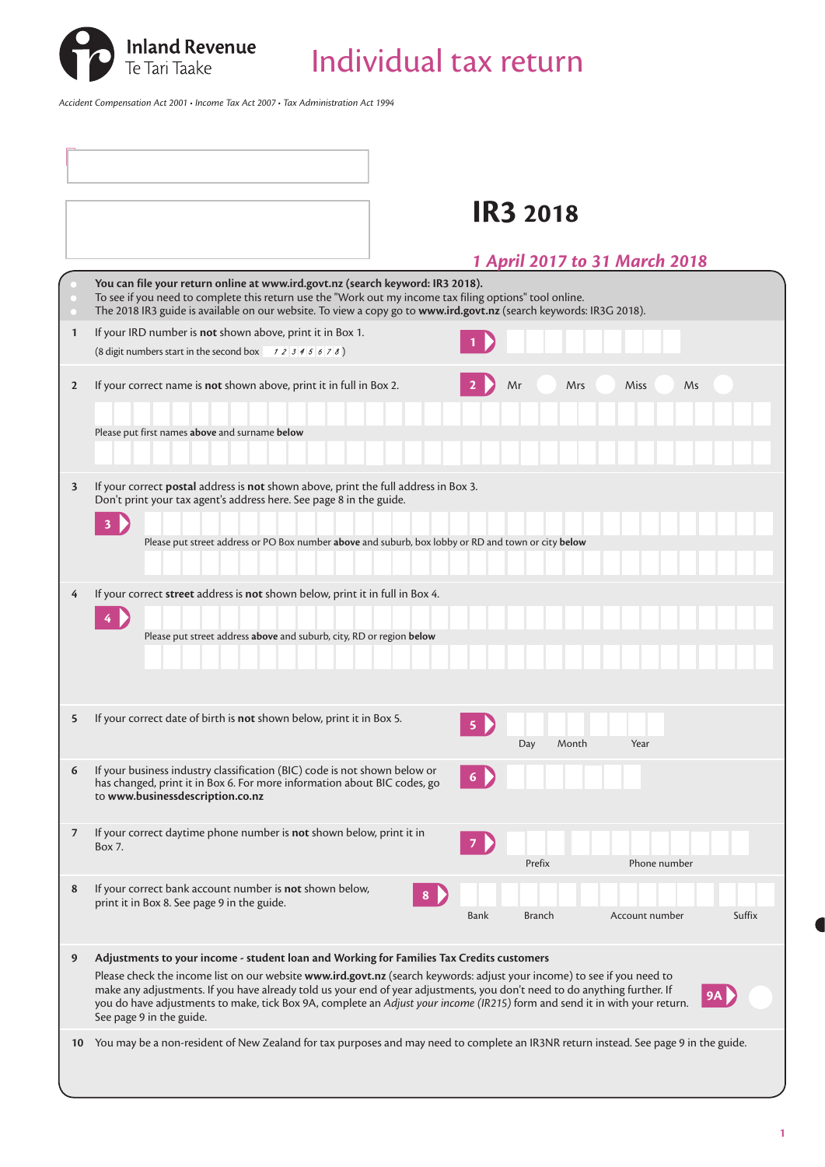

Individual tax return

*Accident Compensation Act 2001 • Income Tax Act 2007 • Tax Administration Act 1994*

|                | <b>IR3 2018</b>                                                                                                                                                                                                                                                                                                                                                                                                                                                                                                         |
|----------------|-------------------------------------------------------------------------------------------------------------------------------------------------------------------------------------------------------------------------------------------------------------------------------------------------------------------------------------------------------------------------------------------------------------------------------------------------------------------------------------------------------------------------|
|                | 1 April 2017 to 31 March 2018                                                                                                                                                                                                                                                                                                                                                                                                                                                                                           |
|                | You can file your return online at www.ird.govt.nz (search keyword: IR3 2018).<br>To see if you need to complete this return use the "Work out my income tax filing options" tool online.<br>The 2018 IR3 guide is available on our website. To view a copy go to www.ird.govt.nz (search keywords: IR3G 2018).                                                                                                                                                                                                         |
| $\mathbf{1}$   | If your IRD number is not shown above, print it in Box 1.<br>(8 digit numbers start in the second box $\begin{array}{cc} 1 & 2 & 3 & 4 & 5 & 6 & 7 & 8 \end{array}$ )                                                                                                                                                                                                                                                                                                                                                   |
| $\overline{2}$ | If your correct name is not shown above, print it in full in Box 2.<br>Mrs<br><b>Miss</b><br>Ms<br>Mr                                                                                                                                                                                                                                                                                                                                                                                                                   |
|                | Please put first names above and surname below                                                                                                                                                                                                                                                                                                                                                                                                                                                                          |
| 3              | If your correct postal address is not shown above, print the full address in Box 3.<br>Don't print your tax agent's address here. See page 8 in the guide.                                                                                                                                                                                                                                                                                                                                                              |
|                | $\overline{\mathbf{3}}$<br>Please put street address or PO Box number above and suburb, box lobby or RD and town or city below                                                                                                                                                                                                                                                                                                                                                                                          |
| 4              | If your correct street address is not shown below, print it in full in Box 4.                                                                                                                                                                                                                                                                                                                                                                                                                                           |
|                | Please put street address above and suburb, city, RD or region below                                                                                                                                                                                                                                                                                                                                                                                                                                                    |
| 5              | If your correct date of birth is not shown below, print it in Box 5.<br>Year<br>Day<br>Month                                                                                                                                                                                                                                                                                                                                                                                                                            |
| 6              | If your business industry classification (BIC) code is not shown below or<br>has changed, print it in Box 6. For more information about BIC codes, go<br>to www.businessdescription.co.nz                                                                                                                                                                                                                                                                                                                               |
| 7              | If your correct daytime phone number is not shown below, print it in<br>Box 7.<br>Prefix<br>Phone number                                                                                                                                                                                                                                                                                                                                                                                                                |
| 8              | If your correct bank account number is not shown below,<br>8<br>print it in Box 8. See page 9 in the guide.<br>Suffix<br>Bank<br><b>Branch</b><br>Account number                                                                                                                                                                                                                                                                                                                                                        |
| 9              | Adjustments to your income - student loan and Working for Families Tax Credits customers<br>Please check the income list on our website www.ird.govt.nz (search keywords: adjust your income) to see if you need to<br>make any adjustments. If you have already told us your end of year adjustments, you don't need to do anything further. If<br><b>9A</b><br>you do have adjustments to make, tick Box 9A, complete an Adjust your income (IR215) form and send it in with your return.<br>See page 9 in the guide. |
| 10             | You may be a non-resident of New Zealand for tax purposes and may need to complete an IR3NR return instead. See page 9 in the guide.                                                                                                                                                                                                                                                                                                                                                                                    |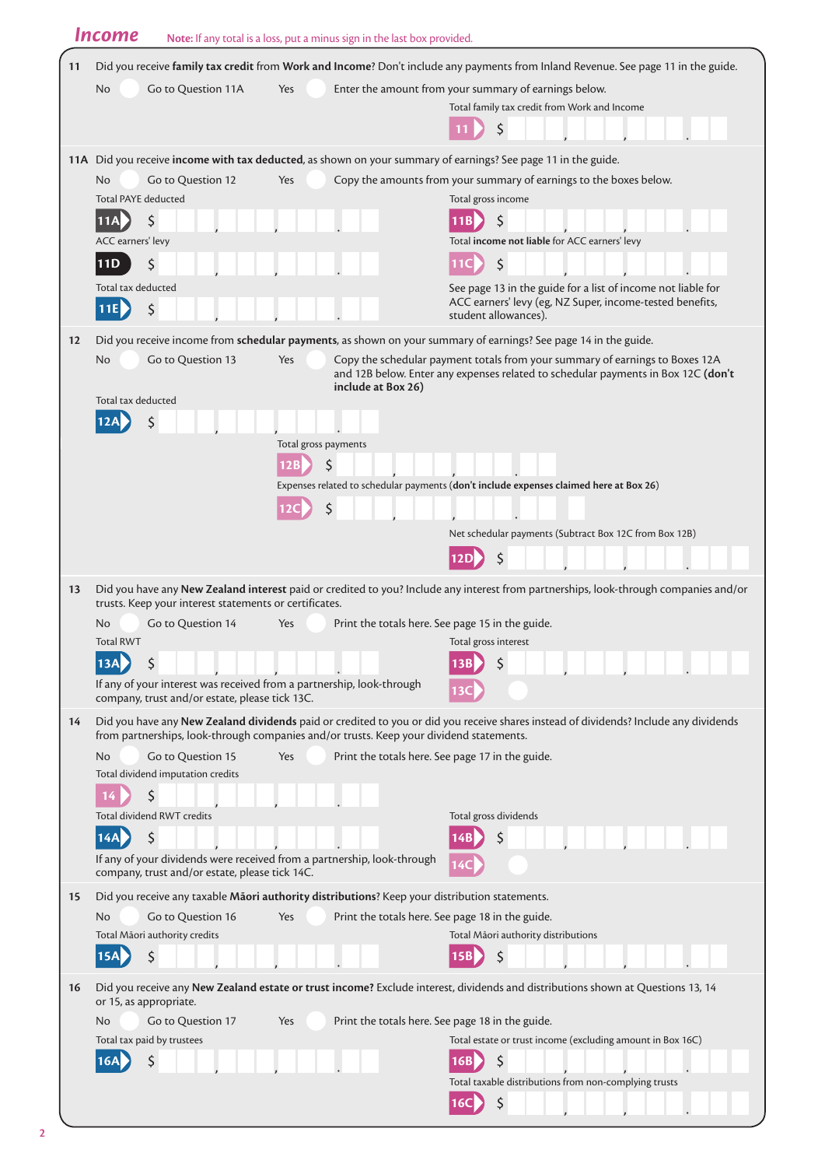|    | <b>Income</b>                                                                                                             | Note: If any total is a loss, put a minus sign in the last box provided. |                                                                                                                                                                                                 |
|----|---------------------------------------------------------------------------------------------------------------------------|--------------------------------------------------------------------------|-------------------------------------------------------------------------------------------------------------------------------------------------------------------------------------------------|
| 11 |                                                                                                                           |                                                                          | Did you receive family tax credit from Work and Income? Don't include any payments from Inland Revenue. See page 11 in the guide.                                                               |
|    | <b>No</b><br>Go to Question 11A                                                                                           | Yes                                                                      | Enter the amount from your summary of earnings below.                                                                                                                                           |
|    |                                                                                                                           |                                                                          | Total family tax credit from Work and Income                                                                                                                                                    |
|    |                                                                                                                           |                                                                          |                                                                                                                                                                                                 |
|    |                                                                                                                           |                                                                          | 11A Did you receive income with tax deducted, as shown on your summary of earnings? See page 11 in the guide.                                                                                   |
|    | Go to Question 12<br>No                                                                                                   | Yes                                                                      | Copy the amounts from your summary of earnings to the boxes below.                                                                                                                              |
|    | <b>Total PAYE deducted</b>                                                                                                |                                                                          | Total gross income                                                                                                                                                                              |
|    | \$<br> 11A <br>ACC earners' levy                                                                                          |                                                                          | 11B<br><sup>S</sup><br>Total income not liable for ACC earners' levy                                                                                                                            |
|    | \$<br>11D                                                                                                                 |                                                                          | \$                                                                                                                                                                                              |
|    | Total tax deducted                                                                                                        |                                                                          | See page 13 in the guide for a list of income not liable for                                                                                                                                    |
|    | \$<br>11E                                                                                                                 |                                                                          | ACC earners' levy (eg, NZ Super, income-tested benefits,<br>student allowances).                                                                                                                |
| 12 |                                                                                                                           |                                                                          |                                                                                                                                                                                                 |
|    | Go to Question 13<br>No                                                                                                   | Yes                                                                      | Did you receive income from schedular payments, as shown on your summary of earnings? See page 14 in the guide.<br>Copy the schedular payment totals from your summary of earnings to Boxes 12A |
|    |                                                                                                                           | include at Box 26)                                                       | and 12B below. Enter any expenses related to schedular payments in Box 12C (don't                                                                                                               |
|    | Total tax deducted                                                                                                        |                                                                          |                                                                                                                                                                                                 |
|    |                                                                                                                           | Total gross payments                                                     |                                                                                                                                                                                                 |
|    |                                                                                                                           | \$<br>12B                                                                |                                                                                                                                                                                                 |
|    |                                                                                                                           |                                                                          | Expenses related to schedular payments (don't include expenses claimed here at Box 26)                                                                                                          |
|    |                                                                                                                           | \$<br>12C                                                                |                                                                                                                                                                                                 |
|    |                                                                                                                           |                                                                          | Net schedular payments (Subtract Box 12C from Box 12B)                                                                                                                                          |
|    |                                                                                                                           |                                                                          | 12D                                                                                                                                                                                             |
| 13 | trusts. Keep your interest statements or certificates.                                                                    |                                                                          | Did you have any New Zealand interest paid or credited to you? Include any interest from partnerships, look-through companies and/or                                                            |
|    | No<br>Go to Question 14                                                                                                   | Yes                                                                      | Print the totals here. See page 15 in the guide.                                                                                                                                                |
|    | <b>Total RWT</b>                                                                                                          |                                                                          | Total gross interest                                                                                                                                                                            |
|    | If any of your interest was received from a partnership, look-through                                                     |                                                                          |                                                                                                                                                                                                 |
|    | company, trust and/or estate, please tick 13C.                                                                            |                                                                          |                                                                                                                                                                                                 |
| 14 | from partnerships, look-through companies and/or trusts. Keep your dividend statements.                                   |                                                                          | Did you have any New Zealand dividends paid or credited to you or did you receive shares instead of dividends? Include any dividends                                                            |
|    | No.<br>Go to Question 15                                                                                                  | Yes                                                                      | Print the totals here. See page 17 in the guide.                                                                                                                                                |
|    | Total dividend imputation credits<br>Ś                                                                                    |                                                                          |                                                                                                                                                                                                 |
|    | 14<br><b>Total dividend RWT credits</b>                                                                                   |                                                                          | Total gross dividends                                                                                                                                                                           |
|    | \$<br>14A                                                                                                                 |                                                                          |                                                                                                                                                                                                 |
|    | If any of your dividends were received from a partnership, look-through                                                   |                                                                          |                                                                                                                                                                                                 |
|    | company, trust and/or estate, please tick 14C.                                                                            |                                                                          |                                                                                                                                                                                                 |
| 15 | Did you receive any taxable Maori authority distributions? Keep your distribution statements.<br>Go to Question 16<br>No. | Yes                                                                      | Print the totals here. See page 18 in the guide.                                                                                                                                                |
|    | Total Māori authority credits                                                                                             |                                                                          | Total Māori authority distributions                                                                                                                                                             |
|    | \$                                                                                                                        |                                                                          | Ś                                                                                                                                                                                               |
| 16 | or 15, as appropriate.                                                                                                    |                                                                          | Did you receive any New Zealand estate or trust income? Exclude interest, dividends and distributions shown at Questions 13, 14                                                                 |
|    | Go to Question 17<br>No                                                                                                   | Yes                                                                      | Print the totals here. See page 18 in the guide.                                                                                                                                                |
|    | Total tax paid by trustees                                                                                                |                                                                          | Total estate or trust income (excluding amount in Box 16C)                                                                                                                                      |
|    |                                                                                                                           |                                                                          | 16B<br>Total taxable distributions from non-complying trusts                                                                                                                                    |
|    |                                                                                                                           |                                                                          | \$<br>16C                                                                                                                                                                                       |
|    |                                                                                                                           |                                                                          |                                                                                                                                                                                                 |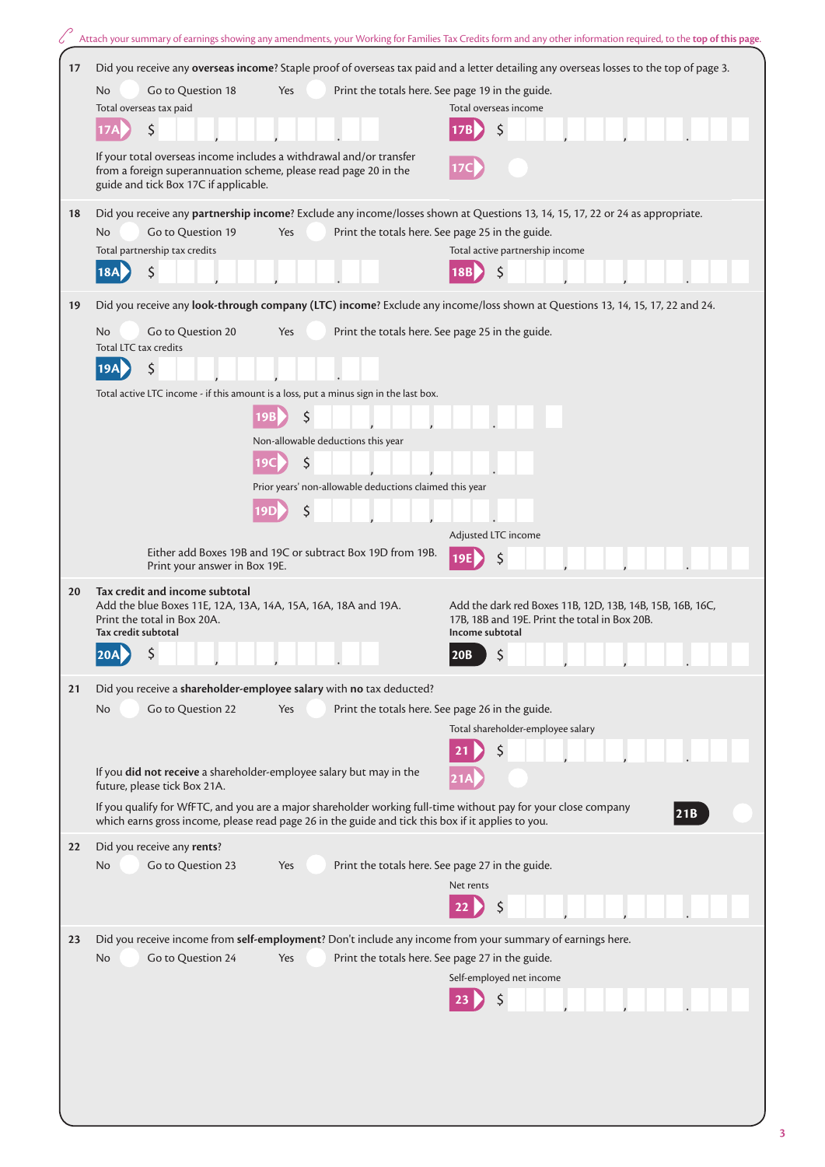|    | Attach your summary of earnings showing any amendments, your Working for Families Tax Credits form and any other information required, to the top of this page.                                                      |                                                                                                            |
|----|----------------------------------------------------------------------------------------------------------------------------------------------------------------------------------------------------------------------|------------------------------------------------------------------------------------------------------------|
| 17 | Did you receive any overseas income? Staple proof of overseas tax paid and a letter detailing any overseas losses to the top of page 3.                                                                              |                                                                                                            |
|    |                                                                                                                                                                                                                      |                                                                                                            |
|    | Go to Question 18<br>Print the totals here. See page 19 in the guide.<br>No<br>Yes<br>Total overseas tax paid<br>Total overseas income                                                                               |                                                                                                            |
|    | \$<br>\$                                                                                                                                                                                                             |                                                                                                            |
|    | If your total overseas income includes a withdrawal and/or transfer<br>from a foreign superannuation scheme, please read page 20 in the<br>guide and tick Box 17C if applicable.                                     |                                                                                                            |
| 18 | Did you receive any partnership income? Exclude any income/losses shown at Questions 13, 14, 15, 17, 22 or 24 as appropriate.                                                                                        |                                                                                                            |
|    | Go to Question 19<br>Print the totals here. See page 25 in the guide.<br>N <sub>o</sub><br>Yes                                                                                                                       |                                                                                                            |
|    | Total partnership tax credits                                                                                                                                                                                        | Total active partnership income                                                                            |
|    | \$<br><b>18A</b><br>18B                                                                                                                                                                                              |                                                                                                            |
| 19 | Did you receive any look-through company (LTC) income? Exclude any income/loss shown at Questions 13, 14, 15, 17, 22 and 24.                                                                                         |                                                                                                            |
|    | Go to Question 20<br>Print the totals here. See page 25 in the guide.<br>No<br>Yes<br>Total LTC tax credits                                                                                                          |                                                                                                            |
|    | \$<br>19A                                                                                                                                                                                                            |                                                                                                            |
|    | Total active LTC income - if this amount is a loss, put a minus sign in the last box.                                                                                                                                |                                                                                                            |
|    | \$                                                                                                                                                                                                                   |                                                                                                            |
|    | Non-allowable deductions this year                                                                                                                                                                                   |                                                                                                            |
|    | \$                                                                                                                                                                                                                   |                                                                                                            |
|    | Prior years' non-allowable deductions claimed this year                                                                                                                                                              |                                                                                                            |
|    | \$                                                                                                                                                                                                                   |                                                                                                            |
|    | Adjusted LTC income                                                                                                                                                                                                  |                                                                                                            |
|    | Either add Boxes 19B and 19C or subtract Box 19D from 19B.<br>Print your answer in Box 19E.                                                                                                                          |                                                                                                            |
| 20 | Tax credit and income subtotal                                                                                                                                                                                       |                                                                                                            |
|    | Add the blue Boxes 11E, 12A, 13A, 14A, 15A, 16A, 18A and 19A.<br>Print the total in Box 20A.<br>Tax credit subtotal                                                                                                  | Add the dark red Boxes 11B, 12D, 13B, 14B, 15B, 16B, 16C,<br>17B, 18B and 19E. Print the total in Box 20B. |
|    | Income subtotal<br>$\overline{a}$<br>20B<br> 20A                                                                                                                                                                     |                                                                                                            |
|    |                                                                                                                                                                                                                      |                                                                                                            |
| 21 | Did you receive a shareholder-employee salary with no tax deducted?<br>Go to Question 22<br>Print the totals here. See page 26 in the guide.<br>No<br>Yes                                                            |                                                                                                            |
|    |                                                                                                                                                                                                                      | Total shareholder-employee salary                                                                          |
|    | \$                                                                                                                                                                                                                   |                                                                                                            |
|    | If you did not receive a shareholder-employee salary but may in the                                                                                                                                                  |                                                                                                            |
|    | future, please tick Box 21A.                                                                                                                                                                                         |                                                                                                            |
|    | If you qualify for WfFTC, and you are a major shareholder working full-time without pay for your close company<br>which earns gross income, please read page 26 in the guide and tick this box if it applies to you. | 21B                                                                                                        |
| 22 | Did you receive any rents?                                                                                                                                                                                           |                                                                                                            |
|    | Go to Question 23<br>Print the totals here. See page 27 in the guide.<br>No<br>Yes                                                                                                                                   |                                                                                                            |
|    | Net rents                                                                                                                                                                                                            |                                                                                                            |
|    |                                                                                                                                                                                                                      |                                                                                                            |
| 23 | Did you receive income from self-employment? Don't include any income from your summary of earnings here.                                                                                                            |                                                                                                            |
|    | Go to Question 24<br>Print the totals here. See page 27 in the guide.<br>No<br>Yes                                                                                                                                   |                                                                                                            |
|    | Self-employed net income                                                                                                                                                                                             |                                                                                                            |
|    |                                                                                                                                                                                                                      |                                                                                                            |
|    |                                                                                                                                                                                                                      |                                                                                                            |
|    |                                                                                                                                                                                                                      |                                                                                                            |
|    |                                                                                                                                                                                                                      |                                                                                                            |
|    |                                                                                                                                                                                                                      |                                                                                                            |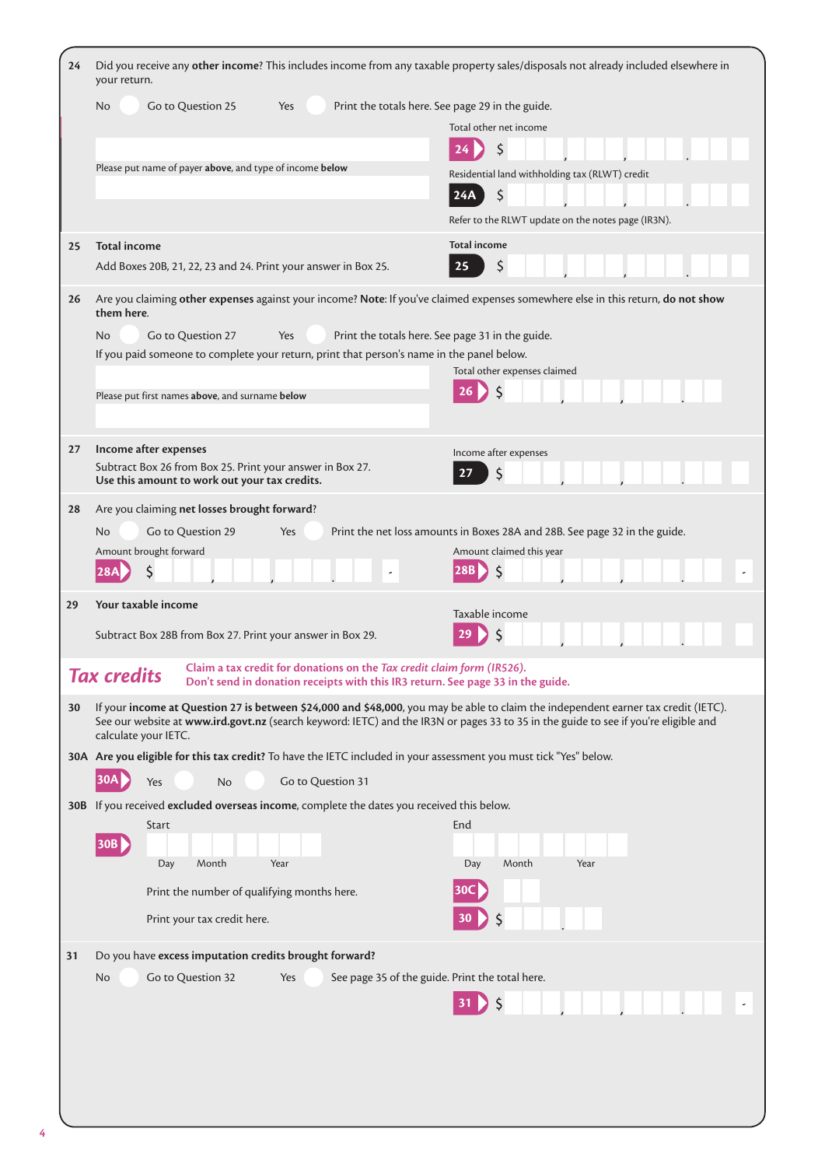| 24 | Did you receive any other income? This includes income from any taxable property sales/disposals not already included elsewhere in<br>your return.                                                                                                                                                |                                                                            |  |
|----|---------------------------------------------------------------------------------------------------------------------------------------------------------------------------------------------------------------------------------------------------------------------------------------------------|----------------------------------------------------------------------------|--|
|    | Print the totals here. See page 29 in the guide.                                                                                                                                                                                                                                                  |                                                                            |  |
|    |                                                                                                                                                                                                                                                                                                   | Total other net income                                                     |  |
|    |                                                                                                                                                                                                                                                                                                   | \$<br>24                                                                   |  |
|    | Please put name of payer above, and type of income below                                                                                                                                                                                                                                          | Residential land withholding tax (RLWT) credit                             |  |
|    |                                                                                                                                                                                                                                                                                                   | $\zeta$<br>24A                                                             |  |
|    |                                                                                                                                                                                                                                                                                                   | Refer to the RLWT update on the notes page (IR3N).                         |  |
| 25 | <b>Total income</b>                                                                                                                                                                                                                                                                               | <b>Total income</b>                                                        |  |
|    | Add Boxes 20B, 21, 22, 23 and 24. Print your answer in Box 25.                                                                                                                                                                                                                                    | \$<br>25                                                                   |  |
| 26 | Are you claiming other expenses against your income? Note: If you've claimed expenses somewhere else in this return, do not show<br>them here.                                                                                                                                                    |                                                                            |  |
|    | Go to Question 27<br>Yes<br>No.                                                                                                                                                                                                                                                                   | Print the totals here. See page 31 in the guide.                           |  |
|    | If you paid someone to complete your return, print that person's name in the panel below.                                                                                                                                                                                                         |                                                                            |  |
|    |                                                                                                                                                                                                                                                                                                   | Total other expenses claimed                                               |  |
|    | Please put first names above, and surname below                                                                                                                                                                                                                                                   | $\zeta$<br>26                                                              |  |
|    |                                                                                                                                                                                                                                                                                                   |                                                                            |  |
| 27 | Income after expenses                                                                                                                                                                                                                                                                             | Income after expenses                                                      |  |
|    | Subtract Box 26 from Box 25. Print your answer in Box 27.                                                                                                                                                                                                                                         | \$<br>27                                                                   |  |
|    | Use this amount to work out your tax credits.                                                                                                                                                                                                                                                     |                                                                            |  |
| 28 | Are you claiming net losses brought forward?                                                                                                                                                                                                                                                      |                                                                            |  |
|    | Go to Question 29<br>N <sub>o</sub><br>Yes                                                                                                                                                                                                                                                        | Print the net loss amounts in Boxes 28A and 28B. See page 32 in the guide. |  |
|    | Amount brought forward                                                                                                                                                                                                                                                                            | Amount claimed this year                                                   |  |
|    |                                                                                                                                                                                                                                                                                                   | \$                                                                         |  |
| 29 | Your taxable income                                                                                                                                                                                                                                                                               | Taxable income                                                             |  |
|    | Subtract Box 28B from Box 27. Print your answer in Box 29.                                                                                                                                                                                                                                        |                                                                            |  |
|    | Claim a tax credit for donations on the Tax credit claim form (IR526).<br><b>Tax credits</b><br>Don't send in donation receipts with this IR3 return. See page 33 in the guide.                                                                                                                   |                                                                            |  |
| 30 | If your income at Question 27 is between \$24,000 and \$48,000, you may be able to claim the independent earner tax credit (IETC).<br>See our website at www.ird.govt.nz (search keyword: IETC) and the IR3N or pages 33 to 35 in the guide to see if you're eligible and<br>calculate your IETC. |                                                                            |  |
|    | 30A Are you eligible for this tax credit? To have the IETC included in your assessment you must tick "Yes" below.                                                                                                                                                                                 |                                                                            |  |
|    | 30A <br>Go to Question 31<br>No<br>Yes                                                                                                                                                                                                                                                            |                                                                            |  |
|    | 30B If you received excluded overseas income, complete the dates you received this below.                                                                                                                                                                                                         |                                                                            |  |
|    | Start                                                                                                                                                                                                                                                                                             | End                                                                        |  |
|    | 30B                                                                                                                                                                                                                                                                                               |                                                                            |  |
|    | Day<br>Month<br>Year                                                                                                                                                                                                                                                                              | Month<br>Year<br>Day                                                       |  |
|    | Print the number of qualifying months here.                                                                                                                                                                                                                                                       | 30C                                                                        |  |
|    | Print your tax credit here.                                                                                                                                                                                                                                                                       | $\zeta$<br>30 <sub>2</sub>                                                 |  |
| 31 | Do you have excess imputation credits brought forward?                                                                                                                                                                                                                                            |                                                                            |  |
|    | Go to Question 32<br>No.<br>Yes                                                                                                                                                                                                                                                                   | See page 35 of the guide. Print the total here.                            |  |
|    |                                                                                                                                                                                                                                                                                                   |                                                                            |  |
|    |                                                                                                                                                                                                                                                                                                   | Ś                                                                          |  |
|    |                                                                                                                                                                                                                                                                                                   |                                                                            |  |
|    |                                                                                                                                                                                                                                                                                                   |                                                                            |  |
|    |                                                                                                                                                                                                                                                                                                   |                                                                            |  |
|    |                                                                                                                                                                                                                                                                                                   |                                                                            |  |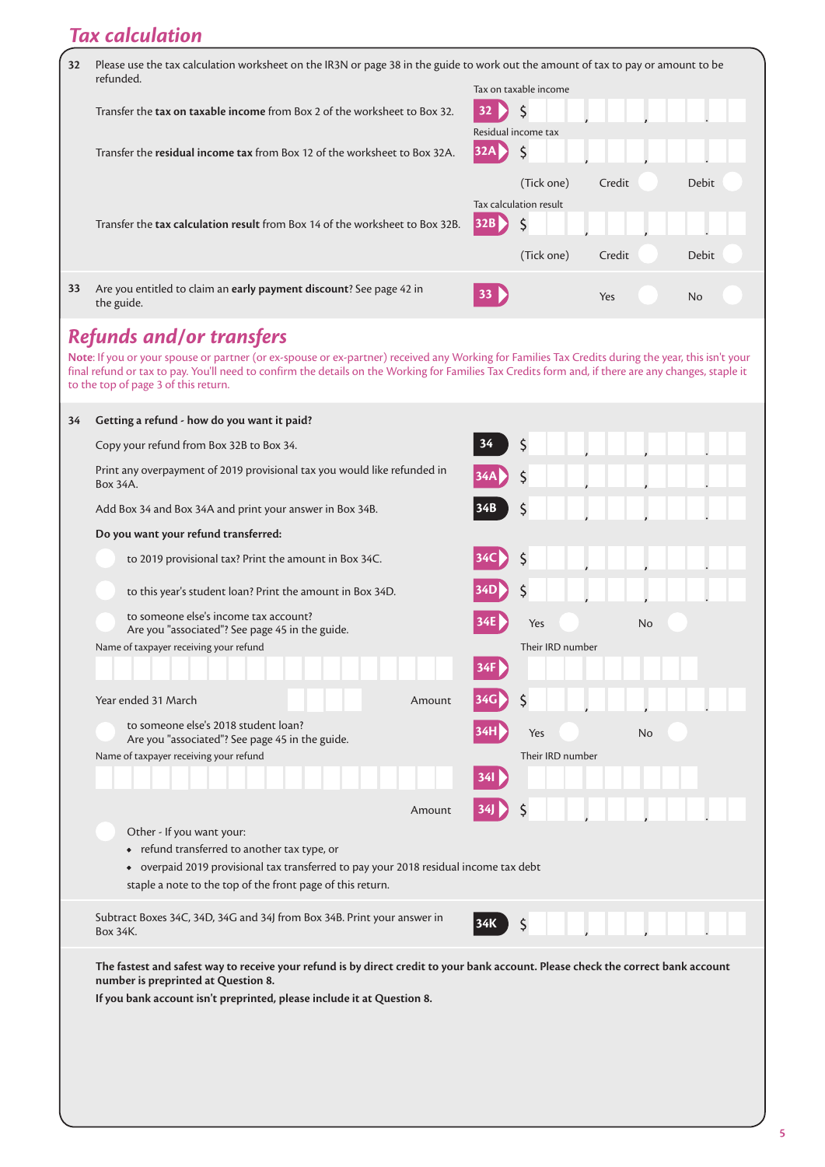## *Tax calculation*

| 32                                                                                                                                                                                                                                                                                                                                                                                    | Please use the tax calculation worksheet on the IR3N or page 38 in the guide to work out the amount of tax to pay or amount to be<br>refunded.                                                                                                     |                               | Tax on taxable income |        |    |       |  |
|---------------------------------------------------------------------------------------------------------------------------------------------------------------------------------------------------------------------------------------------------------------------------------------------------------------------------------------------------------------------------------------|----------------------------------------------------------------------------------------------------------------------------------------------------------------------------------------------------------------------------------------------------|-------------------------------|-----------------------|--------|----|-------|--|
|                                                                                                                                                                                                                                                                                                                                                                                       | Transfer the tax on taxable income from Box 2 of the worksheet to Box 32.                                                                                                                                                                          | 32<br>Residual income tax     | \$                    |        |    |       |  |
|                                                                                                                                                                                                                                                                                                                                                                                       | Transfer the residual income tax from Box 12 of the worksheet to Box 32A.                                                                                                                                                                          | 32A                           | \$                    |        |    |       |  |
|                                                                                                                                                                                                                                                                                                                                                                                       | Transfer the tax calculation result from Box 14 of the worksheet to Box 32B.                                                                                                                                                                       | Tax calculation result<br>32B | (Tick one)<br>\$      | Credit |    | Debit |  |
|                                                                                                                                                                                                                                                                                                                                                                                       |                                                                                                                                                                                                                                                    |                               | (Tick one)            | Credit |    | Debit |  |
| 33                                                                                                                                                                                                                                                                                                                                                                                    | Are you entitled to claim an early payment discount? See page 42 in<br>the guide.                                                                                                                                                                  |                               |                       | Yes    |    | No    |  |
| <b>Refunds and/or transfers</b><br>Note: If you or your spouse or partner (or ex-spouse or ex-partner) received any Working for Families Tax Credits during the year, this isn't your<br>final refund or tax to pay. You'll need to confirm the details on the Working for Families Tax Credits form and, if there are any changes, staple it<br>to the top of page 3 of this return. |                                                                                                                                                                                                                                                    |                               |                       |        |    |       |  |
| 34                                                                                                                                                                                                                                                                                                                                                                                    | Getting a refund - how do you want it paid?                                                                                                                                                                                                        |                               |                       |        |    |       |  |
|                                                                                                                                                                                                                                                                                                                                                                                       | Copy your refund from Box 32B to Box 34.                                                                                                                                                                                                           |                               | \$                    |        |    |       |  |
|                                                                                                                                                                                                                                                                                                                                                                                       | Print any overpayment of 2019 provisional tax you would like refunded in<br>Box 34A.                                                                                                                                                               |                               |                       |        |    |       |  |
|                                                                                                                                                                                                                                                                                                                                                                                       | Add Box 34 and Box 34A and print your answer in Box 34B.                                                                                                                                                                                           |                               |                       |        |    |       |  |
|                                                                                                                                                                                                                                                                                                                                                                                       | Do you want your refund transferred:                                                                                                                                                                                                               |                               |                       |        |    |       |  |
|                                                                                                                                                                                                                                                                                                                                                                                       | to 2019 provisional tax? Print the amount in Box 34C.                                                                                                                                                                                              |                               |                       |        |    |       |  |
|                                                                                                                                                                                                                                                                                                                                                                                       | to this year's student loan? Print the amount in Box 34D.                                                                                                                                                                                          |                               |                       |        |    |       |  |
|                                                                                                                                                                                                                                                                                                                                                                                       | to someone else's income tax account?<br>Are you "associated"? See page 45 in the guide.                                                                                                                                                           |                               | Yes                   |        | No |       |  |
|                                                                                                                                                                                                                                                                                                                                                                                       | Name of taxpayer receiving your refund                                                                                                                                                                                                             | 34F I                         | Their IRD number      |        |    |       |  |
|                                                                                                                                                                                                                                                                                                                                                                                       | Year ended 31 March<br>Amount                                                                                                                                                                                                                      |                               |                       |        |    |       |  |
|                                                                                                                                                                                                                                                                                                                                                                                       | to someone else's 2018 student loan?<br>Are you "associated"? See page 45 in the guide.                                                                                                                                                            |                               | Yes                   |        | No |       |  |
|                                                                                                                                                                                                                                                                                                                                                                                       | Name of taxpayer receiving your refund                                                                                                                                                                                                             |                               | Their IRD number      |        |    |       |  |
|                                                                                                                                                                                                                                                                                                                                                                                       | Amount                                                                                                                                                                                                                                             |                               |                       |        |    |       |  |
|                                                                                                                                                                                                                                                                                                                                                                                       | Other - If you want your:<br>• refund transferred to another tax type, or<br>• overpaid 2019 provisional tax transferred to pay your 2018 residual income tax debt<br>staple a note to the top of the front page of this return.                   |                               |                       |        |    |       |  |
|                                                                                                                                                                                                                                                                                                                                                                                       | Subtract Boxes 34C, 34D, 34G and 34J from Box 34B. Print your answer in<br>Box 34K.                                                                                                                                                                |                               |                       |        |    |       |  |
|                                                                                                                                                                                                                                                                                                                                                                                       | The fastest and safest way to receive your refund is by direct credit to your bank account. Please check the correct bank account<br>number is preprinted at Question 8.<br>If you bank account isn't preprinted, please include it at Question 8. |                               |                       |        |    |       |  |